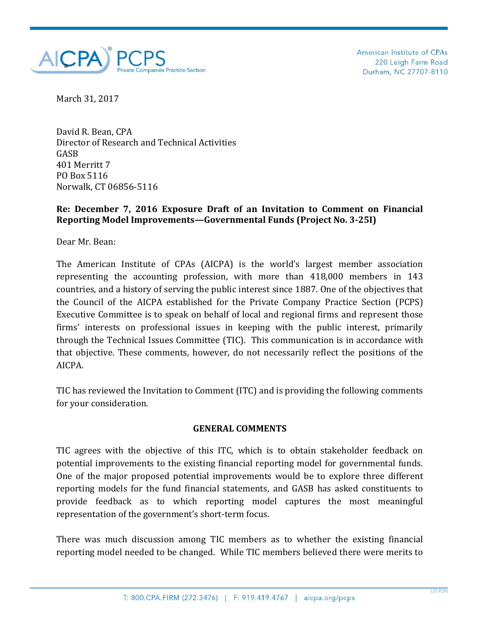

American Institute of CPAs 220 Leigh Farm Road Durham, NC 27707-8110

March 31, 2017

David R. Bean, CPA Director of Research and Technical Activities GASB 401 Merritt 7 PO Box 5116 Norwalk, CT 06856-5116

## **Re: December 7, 2016 Exposure Draft of an Invitation to Comment on Financial Reporting Model Improvements—Governmental Funds (Project No. 3-25I)**

Dear Mr. Bean:

The American Institute of CPAs (AICPA) is the world's largest member association representing the accounting profession, with more than 418,000 members in 143 countries, and a history of serving the public interest since 1887. One of the objectives that the Council of the AICPA established for the Private Company Practice Section (PCPS) Executive Committee is to speak on behalf of local and regional firms and represent those firms' interests on professional issues in keeping with the public interest, primarily through the Technical Issues Committee (TIC). This communication is in accordance with that objective. These comments, however, do not necessarily reflect the positions of the AICPA.

TIC has reviewed the Invitation to Comment (ITC) and is providing the following comments for your consideration.

## **GENERAL COMMENTS**

TIC agrees with the objective of this ITC, which is to obtain stakeholder feedback on potential improvements to the existing financial reporting model for governmental funds. One of the major proposed potential improvements would be to explore three different reporting models for the fund financial statements, and GASB has asked constituents to provide feedback as to which reporting model captures the most meaningful representation of the government's short-term focus.

There was much discussion among TIC members as to whether the existing financial reporting model needed to be changed. While TIC members believed there were merits to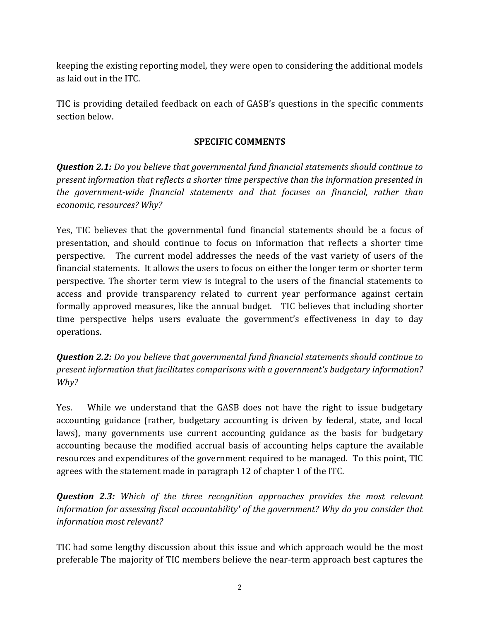keeping the existing reporting model, they were open to considering the additional models as laid out in the ITC.

TIC is providing detailed feedback on each of GASB's questions in the specific comments section below.

## **SPECIFIC COMMENTS**

*Question 2.1: Do you believe that governmental fund financial statements should continue to present information that reflects a shorter time perspective than the information presented in the government-wide financial statements and that focuses on financial, rather than economic, resources? Why?*

Yes, TIC believes that the governmental fund financial statements should be a focus of presentation, and should continue to focus on information that reflects a shorter time perspective. The current model addresses the needs of the vast variety of users of the financial statements. It allows the users to focus on either the longer term or shorter term perspective. The shorter term view is integral to the users of the financial statements to access and provide transparency related to current year performance against certain formally approved measures, like the annual budget. TIC believes that including shorter time perspective helps users evaluate the government's effectiveness in day to day operations.

*Question 2.2: Do you believe that governmental fund financial statements should continue to present information that facilitates comparisons with a government's budgetary information? Why?*

Yes. While we understand that the GASB does not have the right to issue budgetary accounting guidance (rather, budgetary accounting is driven by federal, state, and local laws), many governments use current accounting guidance as the basis for budgetary accounting because the modified accrual basis of accounting helps capture the available resources and expenditures of the government required to be managed. To this point, TIC agrees with the statement made in paragraph 12 of chapter 1 of the ITC.

*Question 2.3: Which of the three recognition approaches provides the most relevant information for assessing fiscal accountability' of the government? Why do you consider that information most relevant?*

TIC had some lengthy discussion about this issue and which approach would be the most preferable The majority of TIC members believe the near-term approach best captures the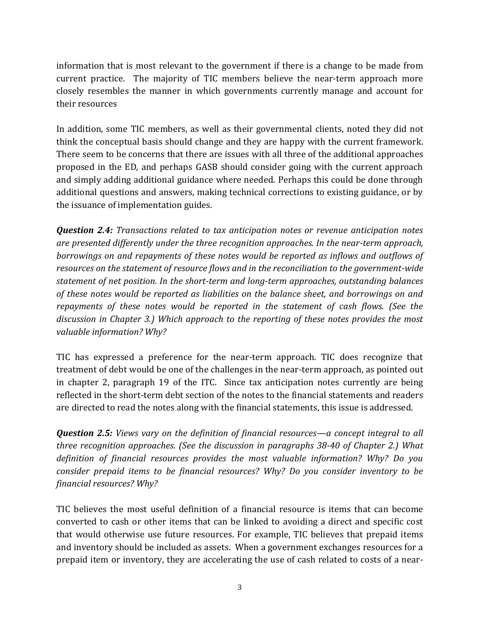information that is most relevant to the government if there is a change to be made from current practice. The majority of TIC members believe the near-term approach more closely resembles the manner in which governments currently manage and account for their resources

In addition, some TIC members, as well as their governmental clients, noted they did not think the conceptual basis should change and they are happy with the current framework. There seem to be concerns that there are issues with all three of the additional approaches proposed in the ED, and perhaps GASB should consider going with the current approach and simply adding additional guidance where needed. Perhaps this could be done through additional questions and answers, making technical corrections to existing guidance, or by the issuance of implementation guides.

*Question 2.4: Transactions related to tax anticipation notes or revenue anticipation notes are presented differently under the three recognition approaches. In the near-term approach, borrowings on and repayments of these notes would be reported as inflows and outflows of resources on the statement of resource flows and in the reconciliation to the government-wide statement of net position. In the short-term and long-term approaches, outstanding balances of these notes would be reported as liabilities on the balance sheet, and borrowings on and repayments of these notes would be reported in the statement of cash flows. (See the discussion in Chapter 3.) Which approach to the reporting of these notes provides the most valuable information? Why?*

TIC has expressed a preference for the near-term approach. TIC does recognize that treatment of debt would be one of the challenges in the near-term approach, as pointed out in chapter 2, paragraph 19 of the ITC. Since tax anticipation notes currently are being reflected in the short-term debt section of the notes to the financial statements and readers are directed to read the notes along with the financial statements, this issue is addressed.

*Question 2.5: Views vary on the definition of financial resources—a concept integral to all three recognition approaches. (See the discussion in paragraphs 38-40 of Chapter 2.) What definition of financial resources provides the most valuable information? Why? Do you consider prepaid items to be financial resources? Why? Do you consider inventory to be financial resources? Why?*

TIC believes the most useful definition of a financial resource is items that can become converted to cash or other items that can be linked to avoiding a direct and specific cost that would otherwise use future resources. For example, TIC believes that prepaid items and inventory should be included as assets. When a government exchanges resources for a prepaid item or inventory, they are accelerating the use of cash related to costs of a near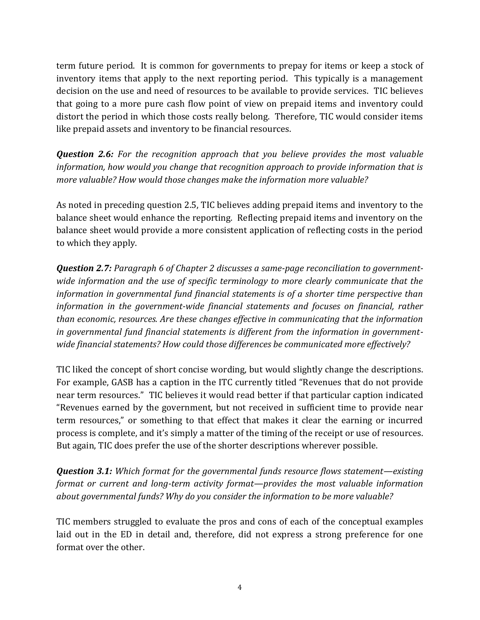term future period. It is common for governments to prepay for items or keep a stock of inventory items that apply to the next reporting period. This typically is a management decision on the use and need of resources to be available to provide services. TIC believes that going to a more pure cash flow point of view on prepaid items and inventory could distort the period in which those costs really belong. Therefore, TIC would consider items like prepaid assets and inventory to be financial resources.

*Question 2.6: For the recognition approach that you believe provides the most valuable information, how would you change that recognition approach to provide information that is more valuable? How would those changes make the information more valuable?*

As noted in preceding question 2.5, TIC believes adding prepaid items and inventory to the balance sheet would enhance the reporting. Reflecting prepaid items and inventory on the balance sheet would provide a more consistent application of reflecting costs in the period to which they apply.

*Question 2.7: Paragraph 6 of Chapter 2 discusses a same-page reconciliation to governmentwide information and the use of specific terminology to more clearly communicate that the information in governmental fund financial statements is of a shorter time perspective than information in the government-wide financial statements and focuses on financial, rather than economic, resources. Are these changes effective in communicating that the information in governmental fund financial statements is different from the information in governmentwide financial statements? How could those differences be communicated more effectively?*

TIC liked the concept of short concise wording, but would slightly change the descriptions. For example, GASB has a caption in the ITC currently titled "Revenues that do not provide near term resources." TIC believes it would read better if that particular caption indicated "Revenues earned by the government, but not received in sufficient time to provide near term resources," or something to that effect that makes it clear the earning or incurred process is complete, and it's simply a matter of the timing of the receipt or use of resources. But again, TIC does prefer the use of the shorter descriptions wherever possible.

*Question 3.1: Which format for the governmental funds resource flows statement—existing format or current and long-term activity format—provides the most valuable information about governmental funds? Why do you consider the information to be more valuable?*

TIC members struggled to evaluate the pros and cons of each of the conceptual examples laid out in the ED in detail and, therefore, did not express a strong preference for one format over the other.